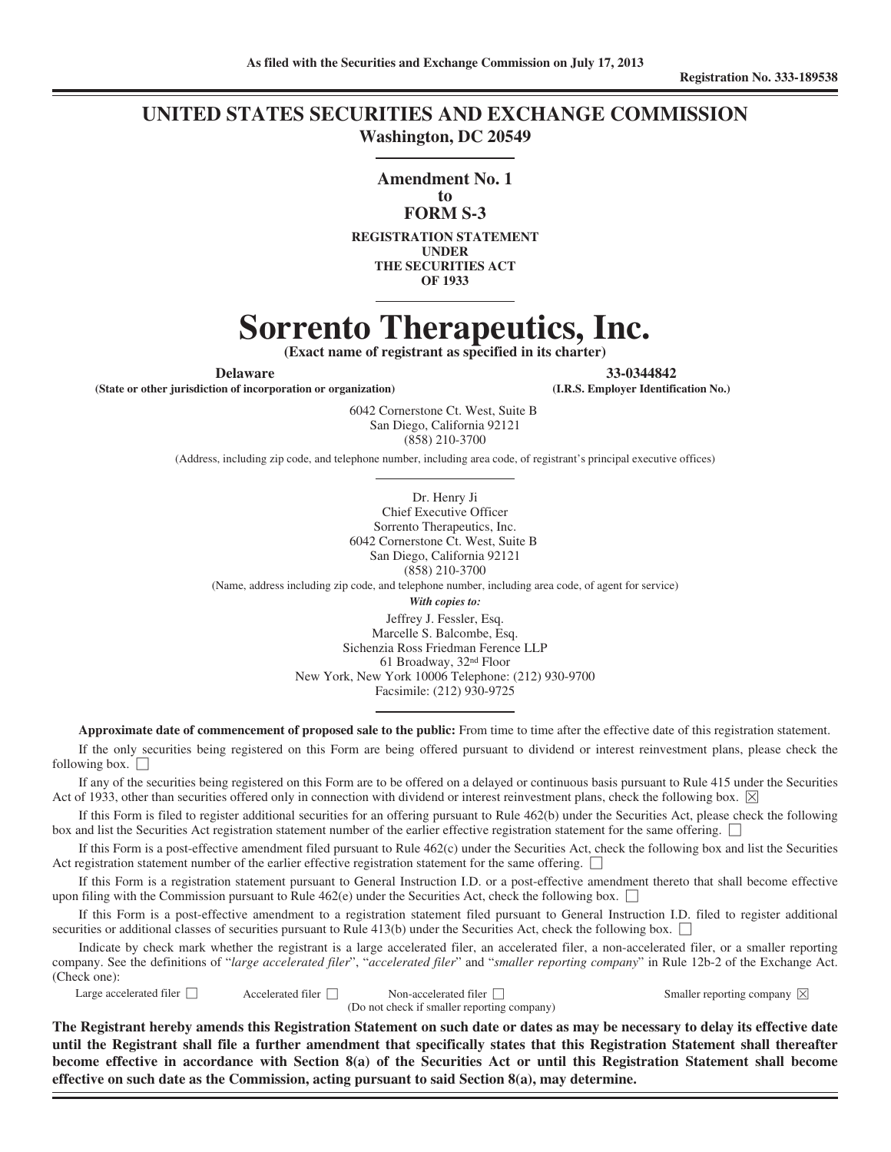### **UNITED STATES SECURITIES AND EXCHANGE COMMISSION Washington, DC 20549**

**Amendment No. 1**

### **to FORM S-3**

**REGISTRATION STATEMENT UNDER THE SECURITIES ACT OF 1933**

# **Sorrento Therapeutics, Inc.**

**(Exact name of registrant as specified in its charter)**

**(State or other jurisdiction of incorporation or organization) (I.R.S. Employer Identification No.)**

**Delaware 33-0344842**

6042 Cornerstone Ct. West, Suite B San Diego, California 92121 (858) 210-3700

(Address, including zip code, and telephone number, including area code, of registrant's principal executive offices)

Dr. Henry Ji Chief Executive Officer Sorrento Therapeutics, Inc. 6042 Cornerstone Ct. West, Suite B San Diego, California 92121 (858) 210-3700 (Name, address including zip code, and telephone number, including area code, of agent for service) *With copies to:* Jeffrey J. Fessler, Esq. Marcelle S. Balcombe, Esq. Sichenzia Ross Friedman Ference LLP 61 Broadway, 32nd Floor New York, New York 10006 Telephone: (212) 930-9700 Facsimile: (212) 930-9725

**Approximate date of commencement of proposed sale to the public:** From time to time after the effective date of this registration statement.

If the only securities being registered on this Form are being offered pursuant to dividend or interest reinvestment plans, please check the following box.  $\Box$ 

If any of the securities being registered on this Form are to be offered on a delayed or continuous basis pursuant to Rule 415 under the Securities Act of 1933, other than securities offered only in connection with dividend or interest reinvestment plans, check the following box.  $\boxtimes$ 

If this Form is filed to register additional securities for an offering pursuant to Rule 462(b) under the Securities Act, please check the following box and list the Securities Act registration statement number of the earlier effective registration statement for the same offering.

If this Form is a post-effective amendment filed pursuant to Rule 462(c) under the Securities Act, check the following box and list the Securities Act registration statement number of the earlier effective registration statement for the same offering.

If this Form is a registration statement pursuant to General Instruction I.D. or a post-effective amendment thereto that shall become effective upon filing with the Commission pursuant to Rule 462(e) under the Securities Act, check the following box.  $\Box$ 

If this Form is a post-effective amendment to a registration statement filed pursuant to General Instruction I.D. filed to register additional securities or additional classes of securities pursuant to Rule 413(b) under the Securities Act, check the following box.  $\Box$ 

Indicate by check mark whether the registrant is a large accelerated filer, an accelerated filer, a non-accelerated filer, or a smaller reporting company. See the definitions of "*large accelerated filer*", "*accelerated filer*" and "*smaller reporting company*" in Rule 12b-2 of the Exchange Act. (Check one):

|  | Large accelerated filer |  |
|--|-------------------------|--|
|--|-------------------------|--|

Accelerated filer  $\Box$  Non-accelerated filer  $\Box$  Smaller reporting company  $\boxtimes$ (Do not check if smaller reporting company)

**The Registrant hereby amends this Registration Statement on such date or dates as may be necessary to delay its effective date until the Registrant shall file a further amendment that specifically states that this Registration Statement shall thereafter become effective in accordance with Section 8(a) of the Securities Act or until this Registration Statement shall become effective on such date as the Commission, acting pursuant to said Section 8(a), may determine.**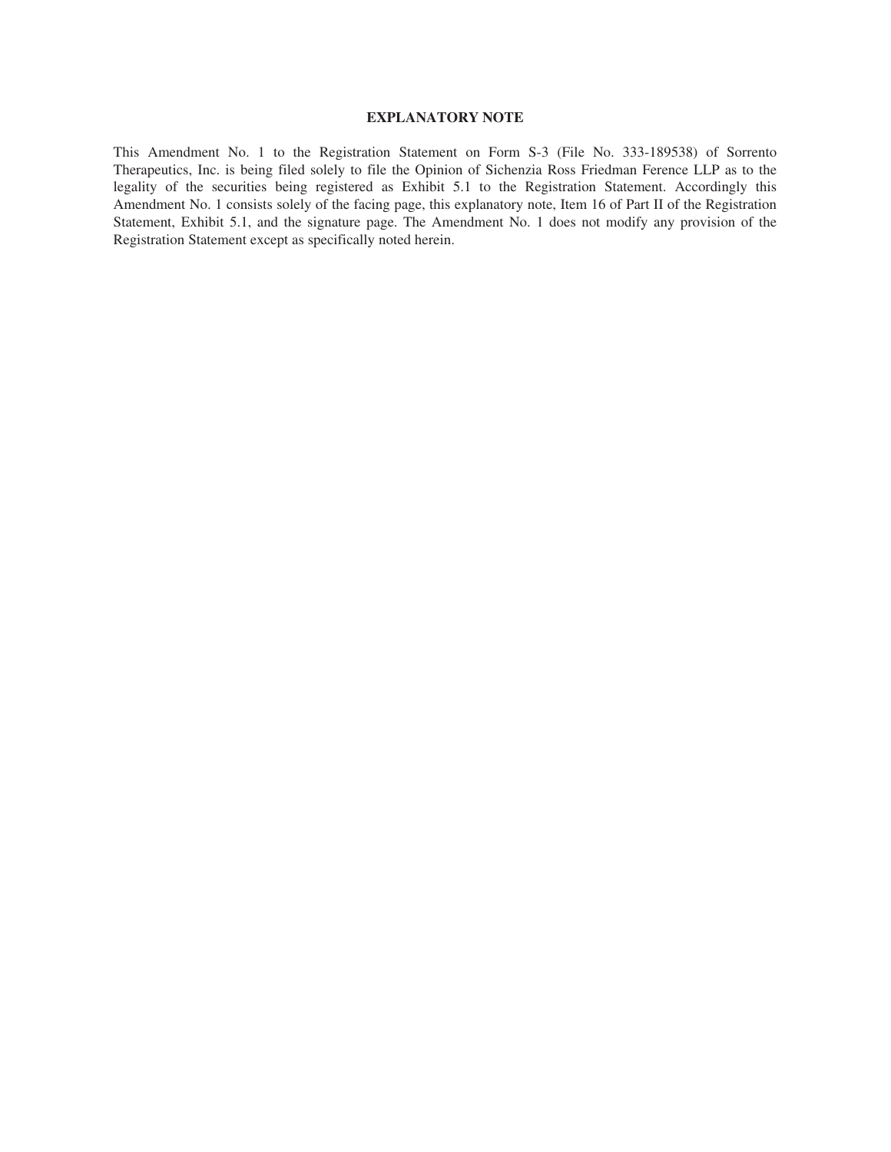### **EXPLANATORY NOTE**

This Amendment No. 1 to the Registration Statement on Form S-3 (File No. 333-189538) of Sorrento Therapeutics, Inc. is being filed solely to file the Opinion of Sichenzia Ross Friedman Ference LLP as to the legality of the securities being registered as Exhibit 5.1 to the Registration Statement. Accordingly this Amendment No. 1 consists solely of the facing page, this explanatory note, Item 16 of Part II of the Registration Statement, Exhibit 5.1, and the signature page. The Amendment No. 1 does not modify any provision of the Registration Statement except as specifically noted herein.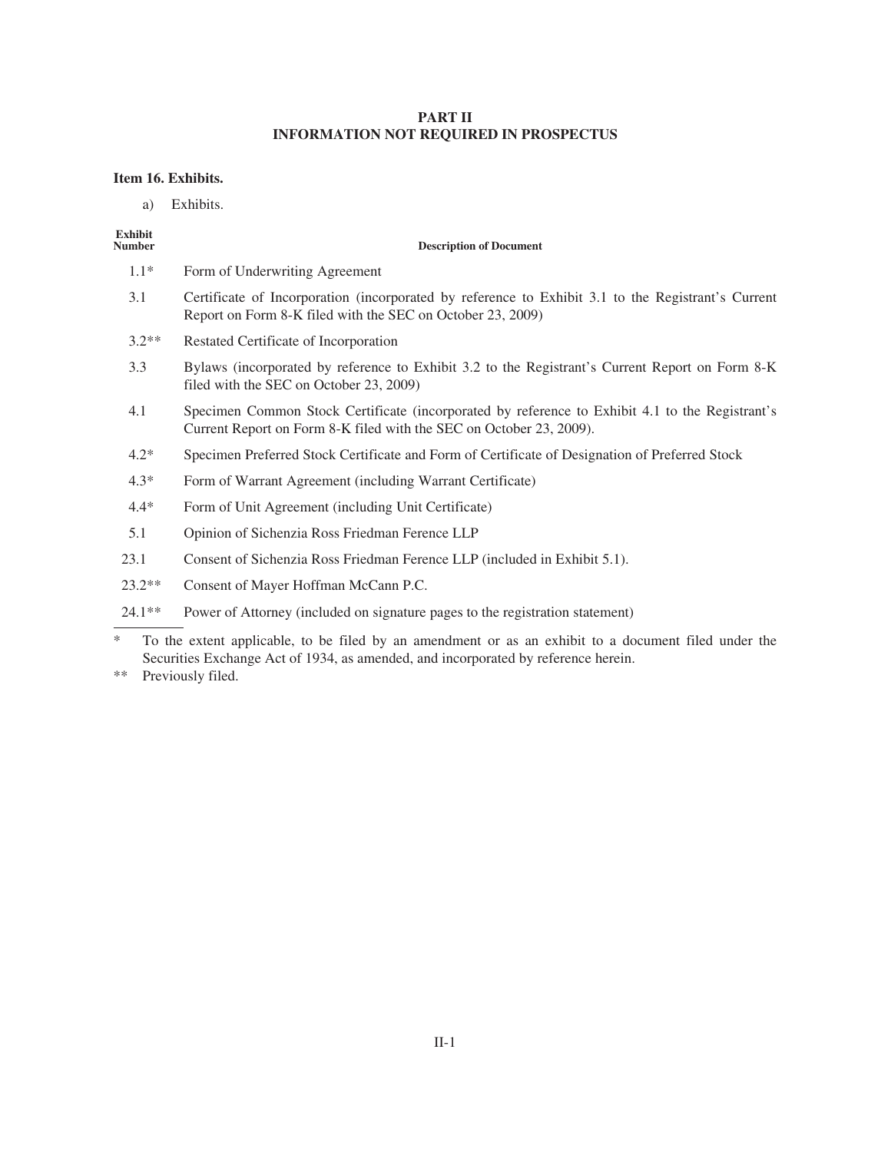### **PART II INFORMATION NOT REQUIRED IN PROSPECTUS**

### **Item 16. Exhibits.**

a) Exhibits.

## **Exhibit**

### **Description of Document**

- 1.1\* Form of Underwriting Agreement
- 3.1 Certificate of Incorporation (incorporated by reference to Exhibit 3.1 to the Registrant's Current Report on Form 8-K filed with the SEC on October 23, 2009)
- 3.2\*\* Restated Certificate of Incorporation
- 3.3 Bylaws (incorporated by reference to Exhibit 3.2 to the Registrant's Current Report on Form 8-K filed with the SEC on October 23, 2009)
- 4.1 Specimen Common Stock Certificate (incorporated by reference to Exhibit 4.1 to the Registrant's Current Report on Form 8-K filed with the SEC on October 23, 2009).
- 4.2\* Specimen Preferred Stock Certificate and Form of Certificate of Designation of Preferred Stock
- 4.3\* Form of Warrant Agreement (including Warrant Certificate)
- 4.4\* Form of Unit Agreement (including Unit Certificate)
- 5.1 Opinion of Sichenzia Ross Friedman Ference LLP
- 23.1 Consent of Sichenzia Ross Friedman Ference LLP (included in Exhibit 5.1).
- 23.2\*\* Consent of Mayer Hoffman McCann P.C.
- 24.1\*\* Power of Attorney (included on signature pages to the registration statement)

\*\* Previously filed.

To the extent applicable, to be filed by an amendment or as an exhibit to a document filed under the Securities Exchange Act of 1934, as amended, and incorporated by reference herein.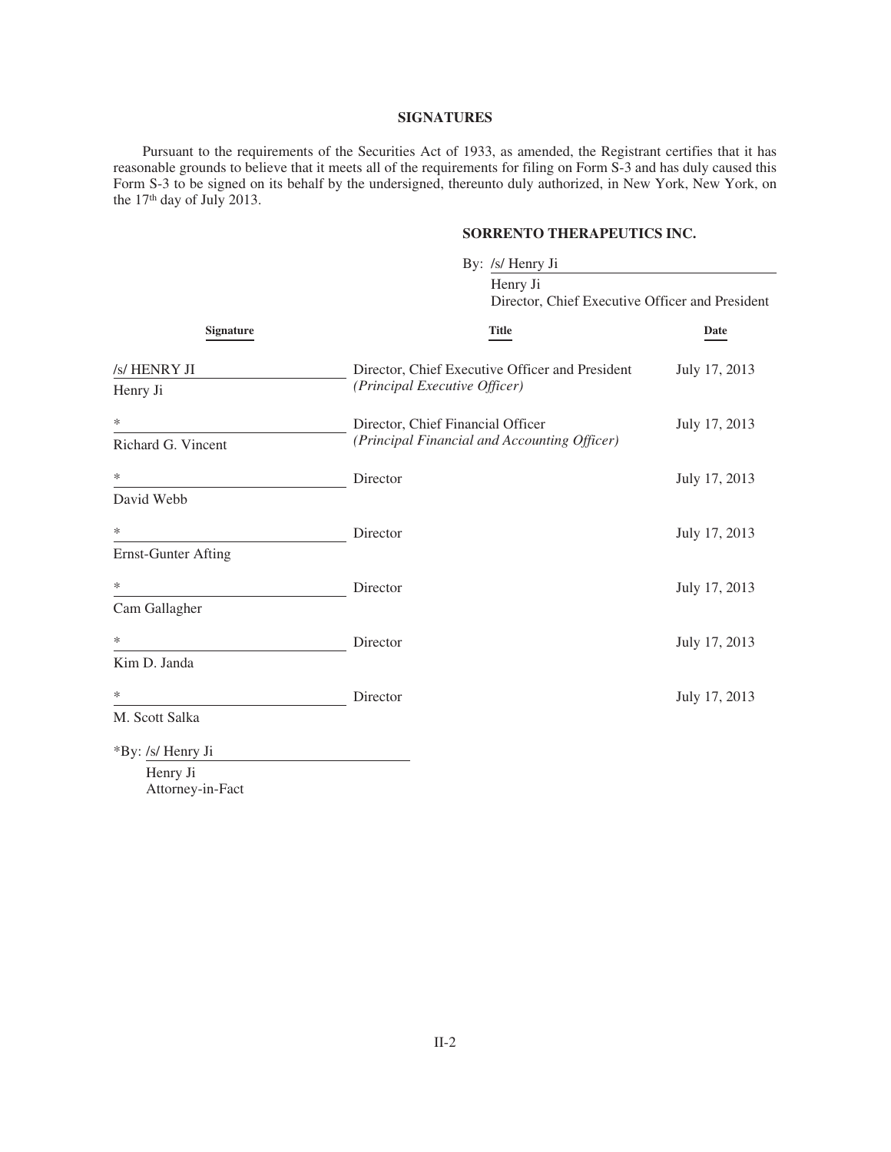### **SIGNATURES**

Pursuant to the requirements of the Securities Act of 1933, as amended, the Registrant certifies that it has reasonable grounds to believe that it meets all of the requirements for filing on Form S-3 and has duly caused this Form S-3 to be signed on its behalf by the undersigned, thereunto duly authorized, in New York, New York, on the 17th day of July 2013.

### **SORRENTO THERAPEUTICS INC.**

|                                 | By: /s/ Henry Ji<br>Henry Ji<br>Director, Chief Executive Officer and President   |               |  |
|---------------------------------|-----------------------------------------------------------------------------------|---------------|--|
| Signature                       |                                                                                   |               |  |
|                                 | <b>Title</b>                                                                      | Date          |  |
| /s/ HENRY JI<br>Henry Ji        | Director, Chief Executive Officer and President<br>(Principal Executive Officer)  | July 17, 2013 |  |
| ∗<br>Richard G. Vincent         | Director, Chief Financial Officer<br>(Principal Financial and Accounting Officer) | July 17, 2013 |  |
| ∗<br>David Webb                 | Director                                                                          | July 17, 2013 |  |
| ∗<br><b>Ernst-Gunter Afting</b> | Director                                                                          | July 17, 2013 |  |
| ∗<br>Cam Gallagher              | Director                                                                          | July 17, 2013 |  |
| ∗<br>Kim D. Janda               | Director                                                                          | July 17, 2013 |  |
| ∗<br>M. Scott Salka             | Director                                                                          | July 17, 2013 |  |
| *By: /s/ Henry Ji<br>Henry Ji   |                                                                                   |               |  |

Attorney-in-Fact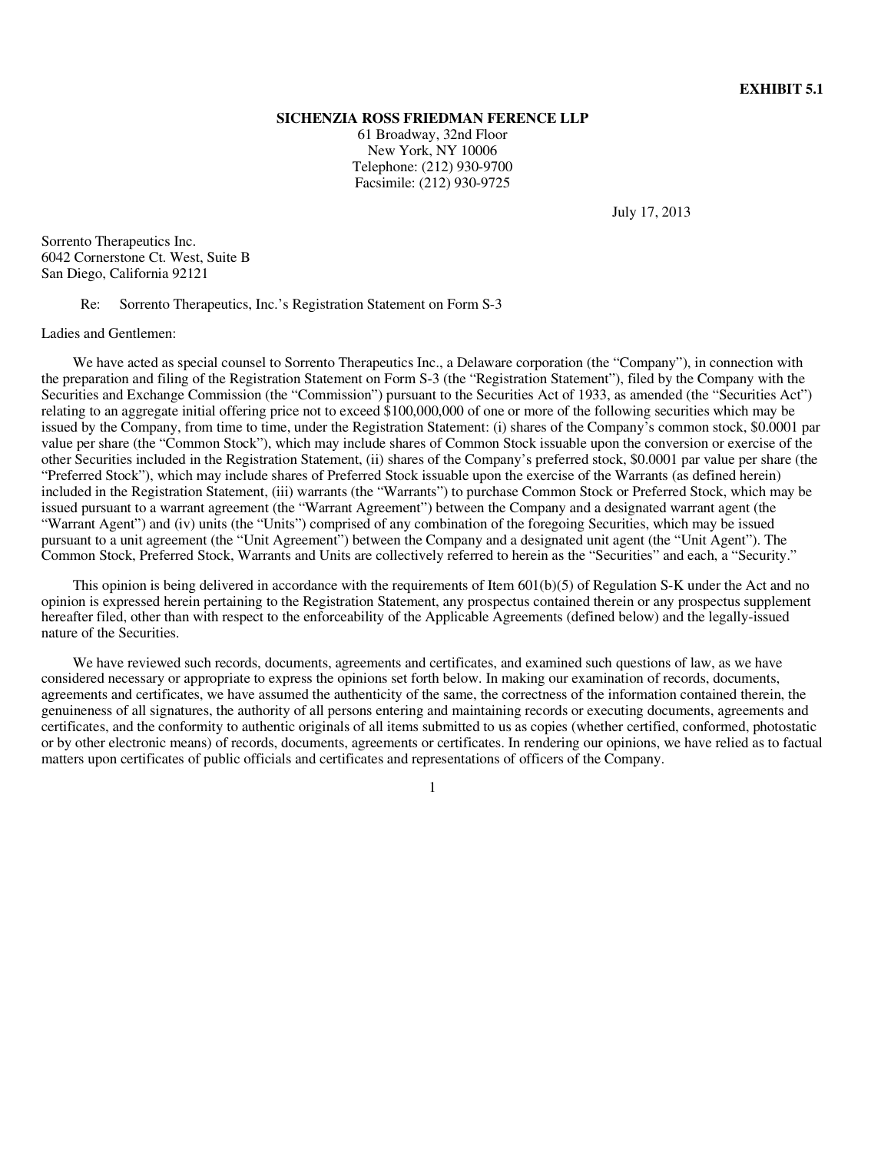### **SICHENZIA ROSS FRIEDMAN FERENCE LLP**

61 Broadway, 32nd Floor New York, NY 10006 Telephone: (212) 930-9700 Facsimile: (212) 930-9725

July 17, 2013

Sorrento Therapeutics Inc. 6042 Cornerstone Ct. West, Suite B San Diego, California 92121

Re: Sorrento Therapeutics, Inc.'s Registration Statement on Form S-3

Ladies and Gentlemen:

We have acted as special counsel to Sorrento Therapeutics Inc., a Delaware corporation (the "Company"), in connection with the preparation and filing of the Registration Statement on Form S-3 (the "Registration Statement"), filed by the Company with the Securities and Exchange Commission (the "Commission") pursuant to the Securities Act of 1933, as amended (the "Securities Act") relating to an aggregate initial offering price not to exceed \$100,000,000 of one or more of the following securities which may be issued by the Company, from time to time, under the Registration Statement: (i) shares of the Company's common stock, \$0.0001 par value per share (the "Common Stock"), which may include shares of Common Stock issuable upon the conversion or exercise of the other Securities included in the Registration Statement, (ii) shares of the Company's preferred stock, \$0.0001 par value per share (the "Preferred Stock"), which may include shares of Preferred Stock issuable upon the exercise of the Warrants (as defined herein) included in the Registration Statement, (iii) warrants (the "Warrants") to purchase Common Stock or Preferred Stock, which may be issued pursuant to a warrant agreement (the "Warrant Agreement") between the Company and a designated warrant agent (the "Warrant Agent") and (iv) units (the "Units") comprised of any combination of the foregoing Securities, which may be issued pursuant to a unit agreement (the "Unit Agreement") between the Company and a designated unit agent (the "Unit Agent"). The Common Stock, Preferred Stock, Warrants and Units are collectively referred to herein as the "Securities" and each, a "Security."

This opinion is being delivered in accordance with the requirements of Item  $601(b)(5)$  of Regulation S-K under the Act and no opinion is expressed herein pertaining to the Registration Statement, any prospectus contained therein or any prospectus supplement hereafter filed, other than with respect to the enforceability of the Applicable Agreements (defined below) and the legally-issued nature of the Securities.

We have reviewed such records, documents, agreements and certificates, and examined such questions of law, as we have considered necessary or appropriate to express the opinions set forth below. In making our examination of records, documents, agreements and certificates, we have assumed the authenticity of the same, the correctness of the information contained therein, the genuineness of all signatures, the authority of all persons entering and maintaining records or executing documents, agreements and certificates, and the conformity to authentic originals of all items submitted to us as copies (whether certified, conformed, photostatic or by other electronic means) of records, documents, agreements or certificates. In rendering our opinions, we have relied as to factual matters upon certificates of public officials and certificates and representations of officers of the Company.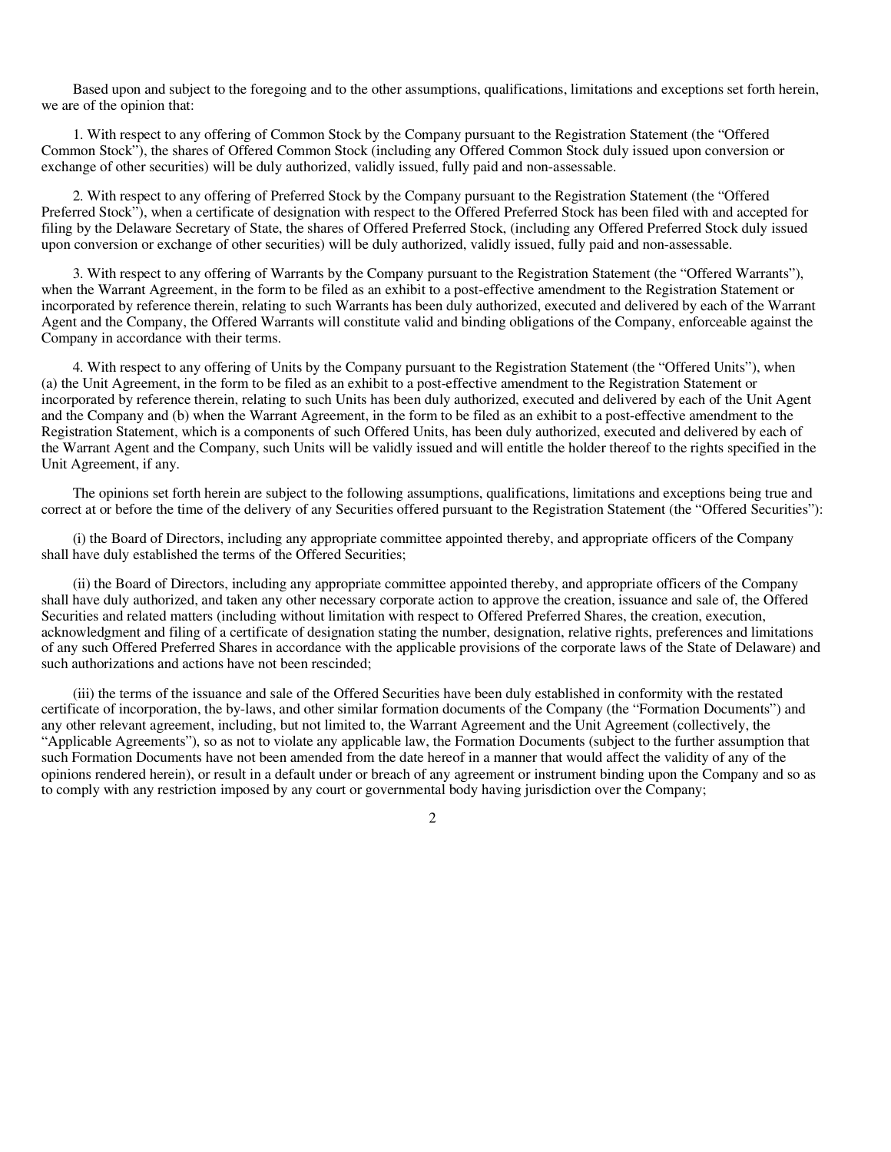Based upon and subject to the foregoing and to the other assumptions, qualifications, limitations and exceptions set forth herein, we are of the opinion that:

1. With respect to any offering of Common Stock by the Company pursuant to the Registration Statement (the "Offered Common Stock"), the shares of Offered Common Stock (including any Offered Common Stock duly issued upon conversion or exchange of other securities) will be duly authorized, validly issued, fully paid and non-assessable.

2. With respect to any offering of Preferred Stock by the Company pursuant to the Registration Statement (the "Offered Preferred Stock"), when a certificate of designation with respect to the Offered Preferred Stock has been filed with and accepted for filing by the Delaware Secretary of State, the shares of Offered Preferred Stock, (including any Offered Preferred Stock duly issued upon conversion or exchange of other securities) will be duly authorized, validly issued, fully paid and non-assessable.

3. With respect to any offering of Warrants by the Company pursuant to the Registration Statement (the "Offered Warrants"), when the Warrant Agreement, in the form to be filed as an exhibit to a post-effective amendment to the Registration Statement or incorporated by reference therein, relating to such Warrants has been duly authorized, executed and delivered by each of the Warrant Agent and the Company, the Offered Warrants will constitute valid and binding obligations of the Company, enforceable against the Company in accordance with their terms.

4. With respect to any offering of Units by the Company pursuant to the Registration Statement (the "Offered Units"), when (a) the Unit Agreement, in the form to be filed as an exhibit to a post-effective amendment to the Registration Statement or incorporated by reference therein, relating to such Units has been duly authorized, executed and delivered by each of the Unit Agent and the Company and (b) when the Warrant Agreement, in the form to be filed as an exhibit to a post-effective amendment to the Registration Statement, which is a components of such Offered Units, has been duly authorized, executed and delivered by each of the Warrant Agent and the Company, such Units will be validly issued and will entitle the holder thereof to the rights specified in the Unit Agreement, if any.

The opinions set forth herein are subject to the following assumptions, qualifications, limitations and exceptions being true and correct at or before the time of the delivery of any Securities offered pursuant to the Registration Statement (the "Offered Securities"):

(i) the Board of Directors, including any appropriate committee appointed thereby, and appropriate officers of the Company shall have duly established the terms of the Offered Securities;

(ii) the Board of Directors, including any appropriate committee appointed thereby, and appropriate officers of the Company shall have duly authorized, and taken any other necessary corporate action to approve the creation, issuance and sale of, the Offered Securities and related matters (including without limitation with respect to Offered Preferred Shares, the creation, execution, acknowledgment and filing of a certificate of designation stating the number, designation, relative rights, preferences and limitations of any such Offered Preferred Shares in accordance with the applicable provisions of the corporate laws of the State of Delaware) and such authorizations and actions have not been rescinded;

(iii) the terms of the issuance and sale of the Offered Securities have been duly established in conformity with the restated certificate of incorporation, the by-laws, and other similar formation documents of the Company (the "Formation Documents") and any other relevant agreement, including, but not limited to, the Warrant Agreement and the Unit Agreement (collectively, the "Applicable Agreements"), so as not to violate any applicable law, the Formation Documents (subject to the further assumption that such Formation Documents have not been amended from the date hereof in a manner that would affect the validity of any of the opinions rendered herein), or result in a default under or breach of any agreement or instrument binding upon the Company and so as to comply with any restriction imposed by any court or governmental body having jurisdiction over the Company;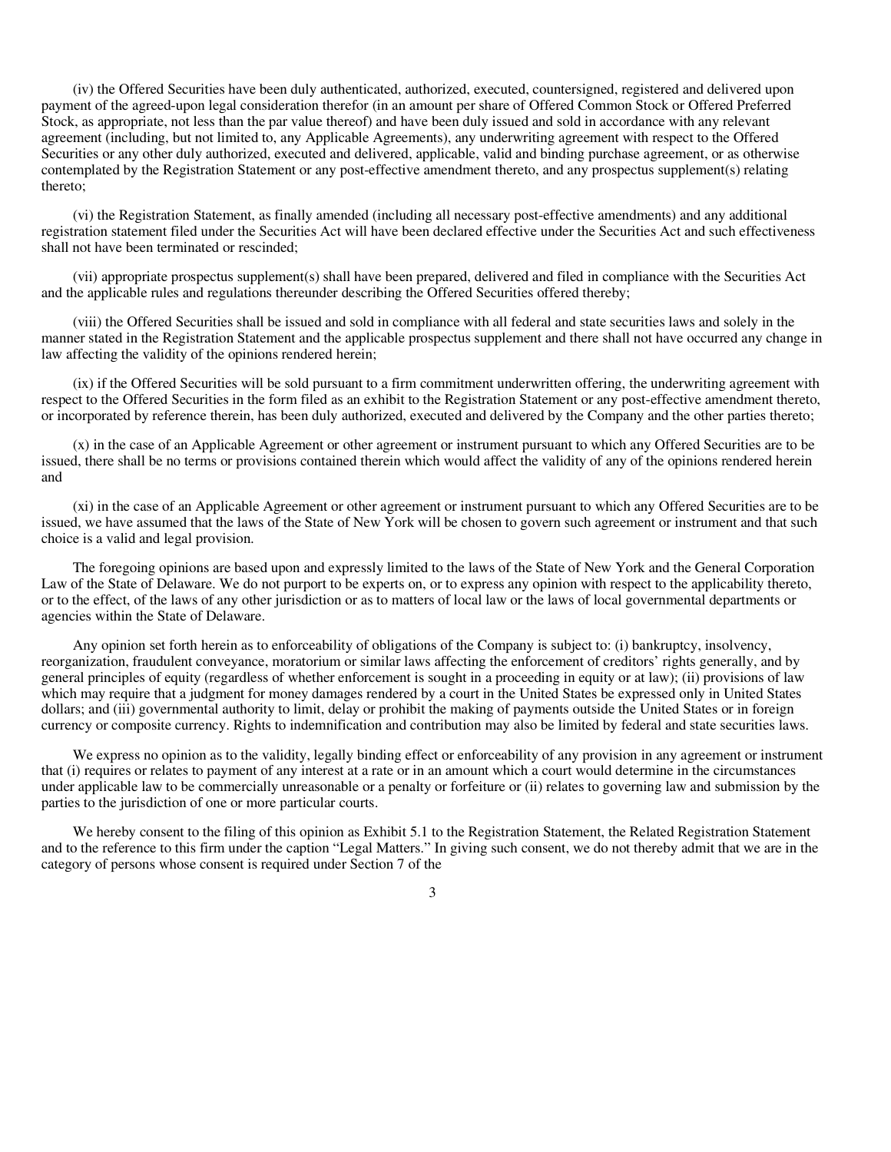(iv) the Offered Securities have been duly authenticated, authorized, executed, countersigned, registered and delivered upon payment of the agreed-upon legal consideration therefor (in an amount per share of Offered Common Stock or Offered Preferred Stock, as appropriate, not less than the par value thereof) and have been duly issued and sold in accordance with any relevant agreement (including, but not limited to, any Applicable Agreements), any underwriting agreement with respect to the Offered Securities or any other duly authorized, executed and delivered, applicable, valid and binding purchase agreement, or as otherwise contemplated by the Registration Statement or any post-effective amendment thereto, and any prospectus supplement(s) relating thereto;

(vi) the Registration Statement, as finally amended (including all necessary post-effective amendments) and any additional registration statement filed under the Securities Act will have been declared effective under the Securities Act and such effectiveness shall not have been terminated or rescinded;

(vii) appropriate prospectus supplement(s) shall have been prepared, delivered and filed in compliance with the Securities Act and the applicable rules and regulations thereunder describing the Offered Securities offered thereby;

(viii) the Offered Securities shall be issued and sold in compliance with all federal and state securities laws and solely in the manner stated in the Registration Statement and the applicable prospectus supplement and there shall not have occurred any change in law affecting the validity of the opinions rendered herein;

(ix) if the Offered Securities will be sold pursuant to a firm commitment underwritten offering, the underwriting agreement with respect to the Offered Securities in the form filed as an exhibit to the Registration Statement or any post-effective amendment thereto, or incorporated by reference therein, has been duly authorized, executed and delivered by the Company and the other parties thereto;

(x) in the case of an Applicable Agreement or other agreement or instrument pursuant to which any Offered Securities are to be issued, there shall be no terms or provisions contained therein which would affect the validity of any of the opinions rendered herein and

(xi) in the case of an Applicable Agreement or other agreement or instrument pursuant to which any Offered Securities are to be issued, we have assumed that the laws of the State of New York will be chosen to govern such agreement or instrument and that such choice is a valid and legal provision.

The foregoing opinions are based upon and expressly limited to the laws of the State of New York and the General Corporation Law of the State of Delaware. We do not purport to be experts on, or to express any opinion with respect to the applicability thereto, or to the effect, of the laws of any other jurisdiction or as to matters of local law or the laws of local governmental departments or agencies within the State of Delaware.

Any opinion set forth herein as to enforceability of obligations of the Company is subject to: (i) bankruptcy, insolvency, reorganization, fraudulent conveyance, moratorium or similar laws affecting the enforcement of creditors' rights generally, and by general principles of equity (regardless of whether enforcement is sought in a proceeding in equity or at law); (ii) provisions of law which may require that a judgment for money damages rendered by a court in the United States be expressed only in United States dollars; and (iii) governmental authority to limit, delay or prohibit the making of payments outside the United States or in foreign currency or composite currency. Rights to indemnification and contribution may also be limited by federal and state securities laws.

We express no opinion as to the validity, legally binding effect or enforceability of any provision in any agreement or instrument that (i) requires or relates to payment of any interest at a rate or in an amount which a court would determine in the circumstances under applicable law to be commercially unreasonable or a penalty or forfeiture or (ii) relates to governing law and submission by the parties to the jurisdiction of one or more particular courts.

We hereby consent to the filing of this opinion as Exhibit 5.1 to the Registration Statement, the Related Registration Statement and to the reference to this firm under the caption "Legal Matters." In giving such consent, we do not thereby admit that we are in the category of persons whose consent is required under Section 7 of the